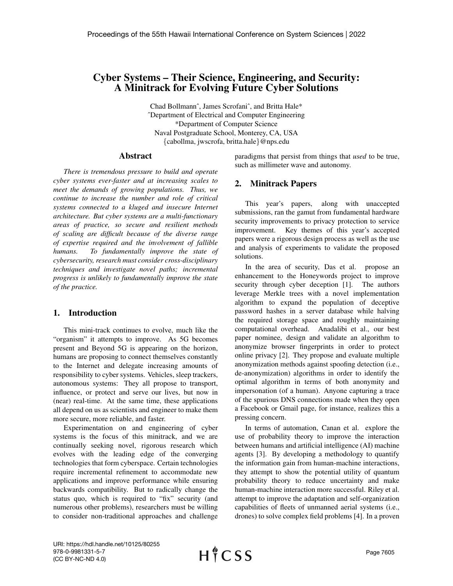# Cyber Systems – Their Science, Engineering, and Security: A Minitrack for Evolving Future Cyber Solutions

Chad Bollmannˆ, James Scrofaniˆ, and Britta Hale\* ˆDepartment of Electrical and Computer Engineering \*Department of Computer Science Naval Postgraduate School, Monterey, CA, USA {cabollma, jwscrofa, britta.hale}@nps.edu

#### Abstract

*There is tremendous pressure to build and operate cyber systems ever-faster and at increasing scales to meet the demands of growing populations. Thus, we continue to increase the number and role of critical systems connected to a kluged and insecure Internet architecture. But cyber systems are a multi-functionary areas of practice, so secure and resilient methods of scaling are difficult because of the diverse range of expertise required and the involvement of fallible humans. To fundamentally improve the state of cybersecurity, research must consider cross-disciplinary techniques and investigate novel paths; incremental progress is unlikely to fundamentally improve the state of the practice.*

### 1. Introduction

This mini-track continues to evolve, much like the "organism" it attempts to improve. As 5G becomes present and Beyond 5G is appearing on the horizon, humans are proposing to connect themselves constantly to the Internet and delegate increasing amounts of responsibility to cyber systems. Vehicles, sleep trackers, autonomous systems: They all propose to transport, influence, or protect and serve our lives, but now in (near) real-time. At the same time, these applications all depend on us as scientists and engineer to make them more secure, more reliable, and faster.

Experimentation on and engineering of cyber systems is the focus of this minitrack, and we are continually seeking novel, rigorous research which evolves with the leading edge of the converging technologies that form cyberspace. Certain technologies require incremental refinement to accommodate new applications and improve performance while ensuring backwards compatibility. But to radically change the status quo, which is required to "fix" security (and numerous other problems), researchers must be willing to consider non-traditional approaches and challenge paradigms that persist from things that *used* to be true, such as millimeter wave and autonomy.

### 2. Minitrack Papers

This year's papers, along with unaccepted submissions, ran the gamut from fundamental hardware security improvements to privacy protection to service improvement. Key themes of this year's accepted papers were a rigorous design process as well as the use and analysis of experiments to validate the proposed solutions.

In the area of security, Das et al. propose an enhancement to the Honeywords project to improve security through cyber deception [1]. The authors leverage Merkle trees with a novel implementation algorithm to expand the population of deceptive password hashes in a server database while halving the required storage space and roughly maintaining computational overhead. Anadalibi et al., our best paper nominee, design and validate an algorithm to anonymize browser fingerprints in order to protect online privacy [2]. They propose and evaluate multiple anonymization methods against spoofing detection (i.e., de-anonymization) algorithms in order to identify the optimal algorithm in terms of both anonymity and impersonation (of a human). Anyone capturing a trace of the spurious DNS connections made when they open a Facebook or Gmail page, for instance, realizes this a pressing concern.

In terms of automation, Canan et al. explore the use of probability theory to improve the interaction between humans and artificial intelligence (AI) machine agents [3]. By developing a methodology to quantify the information gain from human-machine interactions, they attempt to show the potential utility of quantum probability theory to reduce uncertainty and make human-machine interaction more successful. Riley et al. attempt to improve the adaptation and self-organization capabilities of fleets of unmanned aerial systems (i.e., drones) to solve complex field problems [4]. In a proven

URI: https://hdl.handle.net/10125/80255 978-0-9981331-5-7 (CC BY-NC-ND 4.0)